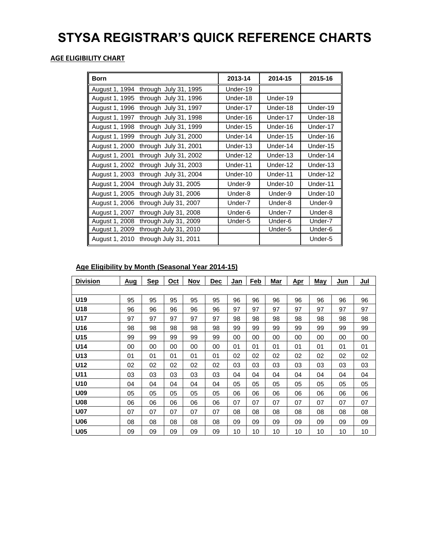# **STYSA REGISTRAR'S QUICK REFERENCE CHARTS**

### **AGE ELIGIBILITY CHART**

| <b>Born</b>    |                       | 2013-14  | 2014-15  | 2015-16  |
|----------------|-----------------------|----------|----------|----------|
| August 1, 1994 | through July 31, 1995 | Under-19 |          |          |
| August 1, 1995 | through July 31, 1996 | Under-18 | Under-19 |          |
| August 1, 1996 | through July 31, 1997 | Under-17 | Under-18 | Under-19 |
| August 1, 1997 | through July 31, 1998 | Under-16 | Under-17 | Under-18 |
| August 1, 1998 | through July 31, 1999 | Under-15 | Under-16 | Under-17 |
| August 1, 1999 | through July 31, 2000 | Under-14 | Under-15 | Under-16 |
| August 1, 2000 | through July 31, 2001 | Under-13 | Under-14 | Under-15 |
| August 1, 2001 | through July 31, 2002 | Under-12 | Under-13 | Under-14 |
| August 1, 2002 | through July 31, 2003 | Under-11 | Under-12 | Under-13 |
| August 1, 2003 | through July 31, 2004 | Under-10 | Under-11 | Under-12 |
| August 1, 2004 | through July 31, 2005 | Under-9  | Under-10 | Under-11 |
| August 1, 2005 | through July 31, 2006 | Under-8  | Under-9  | Under-10 |
| August 1, 2006 | through July 31, 2007 | Under-7  | Under-8  | Under-9  |
| August 1, 2007 | through July 31, 2008 | Under-6  | Under-7  | Under-8  |
| August 1, 2008 | through July 31, 2009 | Under-5  | Under-6  | Under-7  |
| August 1, 2009 | through July 31, 2010 |          | Under-5  | Under-6  |
| August 1, 2010 | through July 31, 2011 |          |          | Under-5  |

## **Age Eligibility by Month (Seasonal Year 2014-15)**

| <b>Division</b> | Aug | <b>Sep</b> | Oct | Nov | Dec | Jan | Feb | Mar | Apr | <b>May</b> | Jun | Jul |
|-----------------|-----|------------|-----|-----|-----|-----|-----|-----|-----|------------|-----|-----|
|                 |     |            |     |     |     |     |     |     |     |            |     |     |
| U <sub>19</sub> | 95  | 95         | 95  | 95  | 95  | 96  | 96  | 96  | 96  | 96         | 96  | 96  |
| U <sub>18</sub> | 96  | 96         | 96  | 96  | 96  | 97  | 97  | 97  | 97  | 97         | 97  | 97  |
| <b>U17</b>      | 97  | 97         | 97  | 97  | 97  | 98  | 98  | 98  | 98  | 98         | 98  | 98  |
| U16             | 98  | 98         | 98  | 98  | 98  | 99  | 99  | 99  | 99  | 99         | 99  | 99  |
| U15             | 99  | 99         | 99  | 99  | 99  | 00  | 00  | 00  | 00  | 00         | 00  | 00  |
| U14             | 00  | 00         | 00  | 00  | 00  | 01  | 01  | 01  | 01  | 01         | 01  | 01  |
| U <sub>13</sub> | 01  | 01         | 01  | 01  | 01  | 02  | 02  | 02  | 02  | 02         | 02  | 02  |
| U12             | 02  | 02         | 02  | 02  | 02  | 03  | 03  | 03  | 03  | 03         | 03  | 03  |
| U11             | 03  | 03         | 03  | 03  | 03  | 04  | 04  | 04  | 04  | 04         | 04  | 04  |
| U <sub>10</sub> | 04  | 04         | 04  | 04  | 04  | 05  | 05  | 05  | 05  | 05         | 05  | 05  |
| U09             | 05  | 05         | 05  | 05  | 05  | 06  | 06  | 06  | 06  | 06         | 06  | 06  |
| <b>U08</b>      | 06  | 06         | 06  | 06  | 06  | 07  | 07  | 07  | 07  | 07         | 07  | 07  |
| <b>U07</b>      | 07  | 07         | 07  | 07  | 07  | 08  | 08  | 08  | 08  | 08         | 08  | 08  |
| <b>U06</b>      | 08  | 08         | 08  | 08  | 08  | 09  | 09  | 09  | 09  | 09         | 09  | 09  |
| <b>U05</b>      | 09  | 09         | 09  | 09  | 09  | 10  | 10  | 10  | 10  | 10         | 10  | 10  |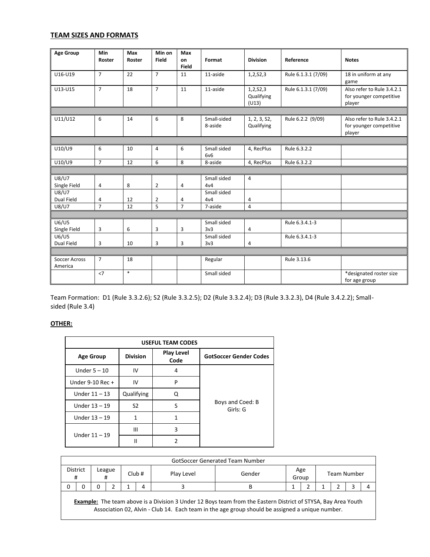#### **TEAM SIZES AND FORMATS**

| <b>Age Group</b>             | Min<br>Roster  | Max<br>Roster | Min on<br>Field | Max<br>on      | Format                 | <b>Division</b>                 | Reference           | <b>Notes</b>                                                    |
|------------------------------|----------------|---------------|-----------------|----------------|------------------------|---------------------------------|---------------------|-----------------------------------------------------------------|
| U16-U19                      | $\overline{7}$ | 22            | $\overline{7}$  | Field<br>11    | 11-aside               | 1,2,52,3                        | Rule 6.1.3.1 (7/09) | 18 in uniform at any<br>game                                    |
| U13-U15                      | $\overline{7}$ | 18            | $\overline{7}$  | 11             | 11-aside               | 1,2,52,3<br>Qualifying<br>(U13) | Rule 6.1.3.1 (7/09) | Also refer to Rule 3.4.2.1<br>for younger competitive<br>player |
|                              |                |               |                 |                |                        |                                 |                     |                                                                 |
| U11/U12                      | 6              | 14            | 6               | 8              | Small-sided<br>8-aside | 1, 2, 3, 52,<br>Qualifying      | Rule 6.2.2 (9/09)   | Also refer to Rule 3.4.2.1<br>for younger competitive<br>player |
|                              |                |               |                 |                |                        |                                 |                     |                                                                 |
| U10/U9                       | 6              | 10            | 4               | 6              | Small sided<br>6v6     | 4, RecPlus                      | Rule 6.3.2.2        |                                                                 |
| U10/U9                       | $\overline{7}$ | 12            | 6               | 8              | 8-aside                | 4, RecPlus                      | Rule 6.3.2.2        |                                                                 |
|                              |                |               |                 |                |                        |                                 |                     |                                                                 |
| <b>U8/U7</b><br>Single Field | $\overline{4}$ | 8             | $\overline{2}$  | 4              | Small sided<br>4v4     | $\overline{4}$                  |                     |                                                                 |
| <b>U8/U7</b><br>Dual Field   | 4              | 12            | 2               | 4              | Small sided<br>4v4     | 4                               |                     |                                                                 |
| <b>U8/U7</b>                 | $\overline{7}$ | 12            | 5               | $\overline{7}$ | 7-aside                | $\overline{4}$                  |                     |                                                                 |
|                              |                |               |                 |                |                        |                                 |                     |                                                                 |
| U6/U5<br>Single Field        | 3              | 6             | 3               | 3              | Small sided<br>3v3     | $\overline{4}$                  | Rule 6.3.4.1-3      |                                                                 |
| U6/U5<br>Dual Field          | 3              | 10            | 3               | 3              | Small sided<br>3v3     | 4                               | Rule 6.3.4.1-3      |                                                                 |
|                              |                |               |                 |                |                        |                                 |                     |                                                                 |
| Soccer Across<br>America     | $\overline{7}$ | 18            |                 |                | Regular                |                                 | Rule 3.13.6         |                                                                 |
|                              | $<$ 7          | $\ast$        |                 |                | Small sided            |                                 |                     | *designated roster size<br>for age group                        |

Team Formation: D1 (Rule 3.3.2.6); S2 (Rule 3.3.2.5); D2 (Rule 3.3.2.4); D3 (Rule 3.3.2.3), D4 (Rule 3.4.2.2); Smallsided (Rule 3.4)

#### **OTHER:**

| <b>USEFUL TEAM CODES</b> |                 |                           |                               |  |  |  |  |  |
|--------------------------|-----------------|---------------------------|-------------------------------|--|--|--|--|--|
| <b>Age Group</b>         | <b>Division</b> | <b>Play Level</b><br>Code | <b>GotSoccer Gender Codes</b> |  |  |  |  |  |
| Under $5 - 10$           | IV              | 4                         |                               |  |  |  |  |  |
| Under 9-10 Rec +         | IV              | P                         |                               |  |  |  |  |  |
| Under $11 - 13$          | Qualifying      | Ω                         |                               |  |  |  |  |  |
| Under $13 - 19$          | S <sub>2</sub>  | S                         | Boys and Coed: B<br>Girls: G  |  |  |  |  |  |
| Under $13 - 19$          | 1               | 1                         |                               |  |  |  |  |  |
| Under $11 - 19$          | Ш               | 3                         |                               |  |  |  |  |  |
|                          | Ш               |                           |                               |  |  |  |  |  |

| <b>GotSoccer Generated Team Number</b>                                                                                                                                                                                  |   |        |  |                               |  |  |  |              |  |             |  |  |  |
|-------------------------------------------------------------------------------------------------------------------------------------------------------------------------------------------------------------------------|---|--------|--|-------------------------------|--|--|--|--------------|--|-------------|--|--|--|
| <b>District</b><br>#                                                                                                                                                                                                    | # | League |  | Club#<br>Play Level<br>Gender |  |  |  | Age<br>Group |  | Team Number |  |  |  |
|                                                                                                                                                                                                                         |   |        |  | 4                             |  |  |  |              |  |             |  |  |  |
| <b>Example:</b> The team above is a Division 3 Under 12 Boys team from the Eastern District of STYSA, Bay Area Youth<br>Association 02, Alvin - Club 14. Each team in the age group should be assigned a unique number. |   |        |  |                               |  |  |  |              |  |             |  |  |  |